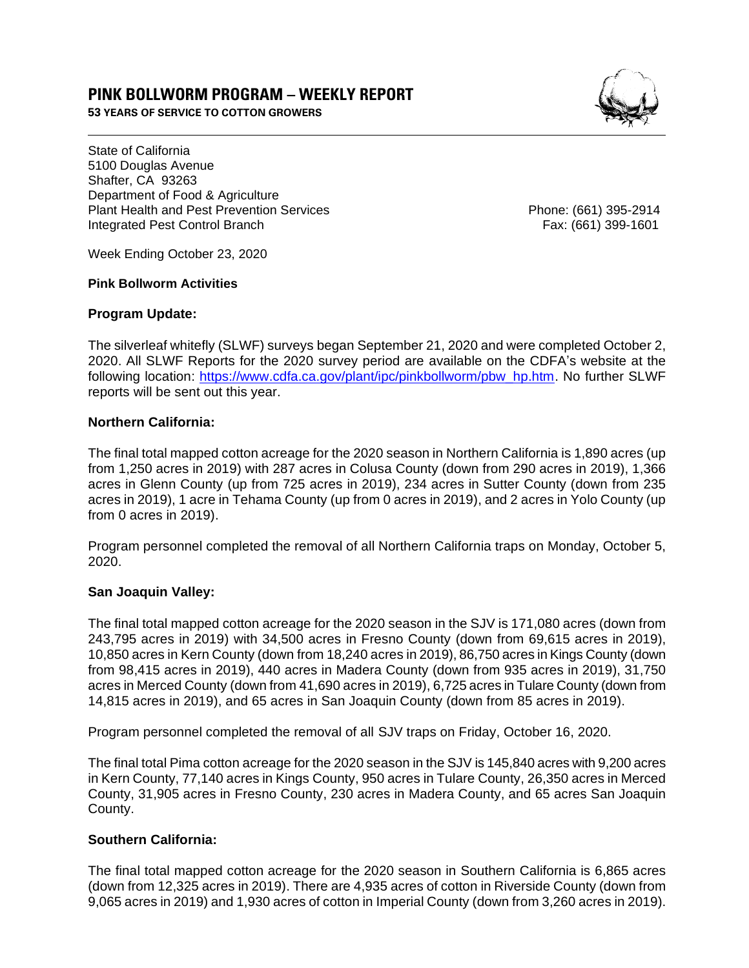# **PINK BOLLWORM PROGRAM – WEEKLY REPORT**

**53 YEARS OF SERVICE TO COTTON GROWERS** 



State of California 5100 Douglas Avenue Shafter, CA 93263 Department of Food & Agriculture Plant Health and Pest Prevention Services **Phone: (661)** 395-2914 Integrated Pest Control Branch Fax: (661) 399-1601

Week Ending October 23, 2020

### **Pink Bollworm Activities**

## **Program Update:**

The silverleaf whitefly (SLWF) surveys began September 21, 2020 and were completed October 2, 2020. All SLWF Reports for the 2020 survey period are available on the CDFA's website at the following location: [https://www.cdfa.ca.gov/plant/ipc/pinkbollworm/pbw\\_hp.htm.](https://www.cdfa.ca.gov/plant/ipc/pinkbollworm/pbw_hp.htm) No further SLWF reports will be sent out this year.

## **Northern California:**

The final total mapped cotton acreage for the 2020 season in Northern California is 1,890 acres (up from 1,250 acres in 2019) with 287 acres in Colusa County (down from 290 acres in 2019), 1,366 acres in Glenn County (up from 725 acres in 2019), 234 acres in Sutter County (down from 235 acres in 2019), 1 acre in Tehama County (up from 0 acres in 2019), and 2 acres in Yolo County (up from 0 acres in 2019).

Program personnel completed the removal of all Northern California traps on Monday, October 5, 2020.

## **San Joaquin Valley:**

The final total mapped cotton acreage for the 2020 season in the SJV is 171,080 acres (down from 243,795 acres in 2019) with 34,500 acres in Fresno County (down from 69,615 acres in 2019), 10,850 acres in Kern County (down from 18,240 acres in 2019), 86,750 acres in Kings County (down from 98,415 acres in 2019), 440 acres in Madera County (down from 935 acres in 2019), 31,750 acres in Merced County (down from 41,690 acres in 2019), 6,725 acres in Tulare County (down from 14,815 acres in 2019), and 65 acres in San Joaquin County (down from 85 acres in 2019).

Program personnel completed the removal of all SJV traps on Friday, October 16, 2020.

The final total Pima cotton acreage for the 2020 season in the SJV is 145,840 acres with 9,200 acres in Kern County, 77,140 acres in Kings County, 950 acres in Tulare County, 26,350 acres in Merced County, 31,905 acres in Fresno County, 230 acres in Madera County, and 65 acres San Joaquin County.

## **Southern California:**

The final total mapped cotton acreage for the 2020 season in Southern California is 6,865 acres (down from 12,325 acres in 2019). There are 4,935 acres of cotton in Riverside County (down from 9,065 acres in 2019) and 1,930 acres of cotton in Imperial County (down from 3,260 acres in 2019).